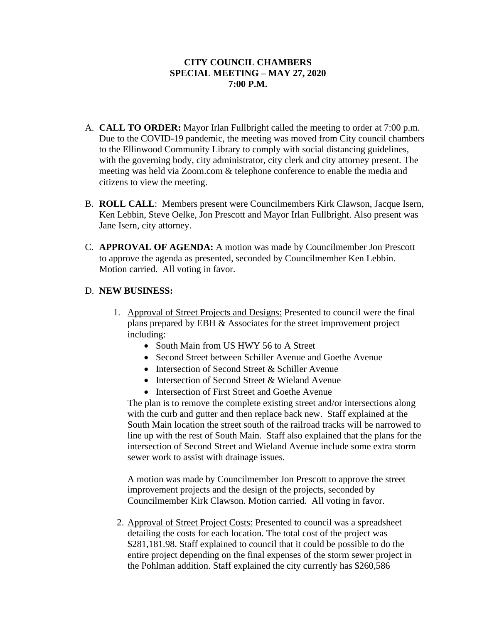## **CITY COUNCIL CHAMBERS SPECIAL MEETING – MAY 27, 2020 7:00 P.M.**

- A. **CALL TO ORDER:** Mayor Irlan Fullbright called the meeting to order at 7:00 p.m. Due to the COVID-19 pandemic, the meeting was moved from City council chambers to the Ellinwood Community Library to comply with social distancing guidelines, with the governing body, city administrator, city clerk and city attorney present. The meeting was held via Zoom.com & telephone conference to enable the media and citizens to view the meeting.
- B. **ROLL CALL**: Members present were Councilmembers Kirk Clawson, Jacque Isern, Ken Lebbin, Steve Oelke, Jon Prescott and Mayor Irlan Fullbright. Also present was Jane Isern, city attorney.
- C. **APPROVAL OF AGENDA:** A motion was made by Councilmember Jon Prescott to approve the agenda as presented, seconded by Councilmember Ken Lebbin. Motion carried. All voting in favor.

## D. **NEW BUSINESS:**

- 1. Approval of Street Projects and Designs: Presented to council were the final plans prepared by EBH & Associates for the street improvement project including:
	- South Main from US HWY 56 to A Street
	- Second Street between Schiller Avenue and Goethe Avenue
	- Intersection of Second Street & Schiller Avenue
	- Intersection of Second Street & Wieland Avenue
	- Intersection of First Street and Goethe Avenue

The plan is to remove the complete existing street and/or intersections along with the curb and gutter and then replace back new. Staff explained at the South Main location the street south of the railroad tracks will be narrowed to line up with the rest of South Main. Staff also explained that the plans for the intersection of Second Street and Wieland Avenue include some extra storm sewer work to assist with drainage issues.

A motion was made by Councilmember Jon Prescott to approve the street improvement projects and the design of the projects, seconded by Councilmember Kirk Clawson. Motion carried. All voting in favor.

2. Approval of Street Project Costs: Presented to council was a spreadsheet detailing the costs for each location. The total cost of the project was \$281,181.98. Staff explained to council that it could be possible to do the entire project depending on the final expenses of the storm sewer project in the Pohlman addition. Staff explained the city currently has \$260,586